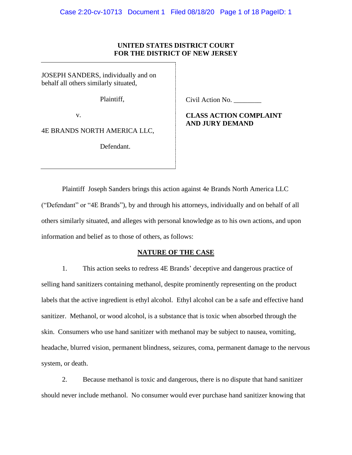### **UNITED STATES DISTRICT COURT FOR THE DISTRICT OF NEW JERSEY**

JOSEPH SANDERS, individually and on behalf all others similarly situated,

Plaintiff,

v.

4E BRANDS NORTH AMERICA LLC,

Defendant.

Civil Action No. \_\_\_\_\_\_\_\_

# **CLASS ACTION COMPLAINT AND JURY DEMAND**

Plaintiff Joseph Sanders brings this action against 4e Brands North America LLC ("Defendant" or "4E Brands"), by and through his attorneys, individually and on behalf of all others similarly situated, and alleges with personal knowledge as to his own actions, and upon information and belief as to those of others, as follows:

#### **NATURE OF THE CASE**

1. This action seeks to redress 4E Brands' deceptive and dangerous practice of selling hand sanitizers containing methanol, despite prominently representing on the product labels that the active ingredient is ethyl alcohol. Ethyl alcohol can be a safe and effective hand sanitizer. Methanol, or wood alcohol, is a substance that is toxic when absorbed through the skin. Consumers who use hand sanitizer with methanol may be subject to nausea, vomiting, headache, blurred vision, permanent blindness, seizures, coma, permanent damage to the nervous system, or death.

2. Because methanol is toxic and dangerous, there is no dispute that hand sanitizer should never include methanol. No consumer would ever purchase hand sanitizer knowing that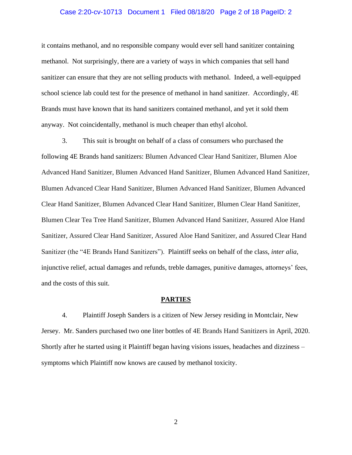#### Case 2:20-cv-10713 Document 1 Filed 08/18/20 Page 2 of 18 PageID: 2

it contains methanol, and no responsible company would ever sell hand sanitizer containing methanol. Not surprisingly, there are a variety of ways in which companies that sell hand sanitizer can ensure that they are not selling products with methanol. Indeed, a well-equipped school science lab could test for the presence of methanol in hand sanitizer. Accordingly, 4E Brands must have known that its hand sanitizers contained methanol, and yet it sold them anyway. Not coincidentally, methanol is much cheaper than ethyl alcohol.

3. This suit is brought on behalf of a class of consumers who purchased the following 4E Brands hand sanitizers: Blumen Advanced Clear Hand Sanitizer, Blumen Aloe Advanced Hand Sanitizer, Blumen Advanced Hand Sanitizer, Blumen Advanced Hand Sanitizer, Blumen Advanced Clear Hand Sanitizer, Blumen Advanced Hand Sanitizer, Blumen Advanced Clear Hand Sanitizer, Blumen Advanced Clear Hand Sanitizer, Blumen Clear Hand Sanitizer, Blumen Clear Tea Tree Hand Sanitizer, Blumen Advanced Hand Sanitizer, Assured Aloe Hand Sanitizer, Assured Clear Hand Sanitizer, Assured Aloe Hand Sanitizer, and Assured Clear Hand Sanitizer (the "4E Brands Hand Sanitizers"). Plaintiff seeks on behalf of the class, *inter alia*, injunctive relief, actual damages and refunds, treble damages, punitive damages, attorneys' fees, and the costs of this suit.

#### **PARTIES**

4. Plaintiff Joseph Sanders is a citizen of New Jersey residing in Montclair, New Jersey. Mr. Sanders purchased two one liter bottles of 4E Brands Hand Sanitizers in April, 2020. Shortly after he started using it Plaintiff began having visions issues, headaches and dizziness – symptoms which Plaintiff now knows are caused by methanol toxicity.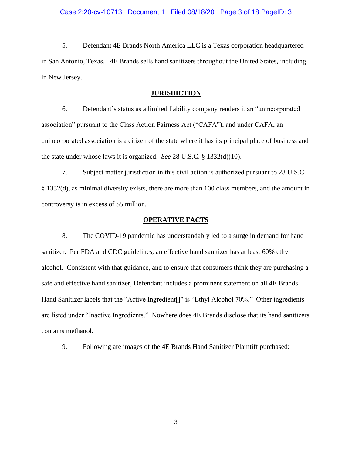5. Defendant 4E Brands North America LLC is a Texas corporation headquartered in San Antonio, Texas. 4E Brands sells hand sanitizers throughout the United States, including in New Jersey.

#### **JURISDICTION**

6. Defendant's status as a limited liability company renders it an "unincorporated association" pursuant to the Class Action Fairness Act ("CAFA"), and under CAFA, an unincorporated association is a citizen of the state where it has its principal place of business and the state under whose laws it is organized. *See* 28 U.S.C. § 1332(d)(10).

7. Subject matter jurisdiction in this civil action is authorized pursuant to 28 U.S.C. § 1332(d), as minimal diversity exists, there are more than 100 class members, and the amount in controversy is in excess of \$5 million.

### **OPERATIVE FACTS**

8. The COVID-19 pandemic has understandably led to a surge in demand for hand sanitizer. Per FDA and CDC guidelines, an effective hand sanitizer has at least 60% ethyl alcohol. Consistent with that guidance, and to ensure that consumers think they are purchasing a safe and effective hand sanitizer, Defendant includes a prominent statement on all 4E Brands Hand Sanitizer labels that the "Active Ingredient<sup>[]"</sup> is "Ethyl Alcohol 70%." Other ingredients are listed under "Inactive Ingredients." Nowhere does 4E Brands disclose that its hand sanitizers contains methanol.

9. Following are images of the 4E Brands Hand Sanitizer Plaintiff purchased: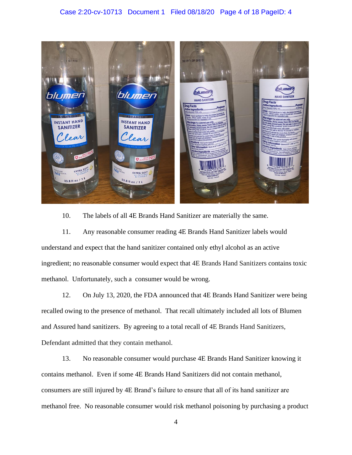### Case 2:20-cv-10713 Document 1 Filed 08/18/20 Page 4 of 18 PageID: 4



10. The labels of all 4E Brands Hand Sanitizer are materially the same.

11. Any reasonable consumer reading 4E Brands Hand Sanitizer labels would understand and expect that the hand sanitizer contained only ethyl alcohol as an active ingredient; no reasonable consumer would expect that 4E Brands Hand Sanitizers contains toxic methanol. Unfortunately, such a consumer would be wrong.

12. On July 13, 2020, the FDA announced that 4E Brands Hand Sanitizer were being recalled owing to the presence of methanol. That recall ultimately included all lots of Blumen and Assured hand sanitizers. By agreeing to a total recall of 4E Brands Hand Sanitizers, Defendant admitted that they contain methanol.

13. No reasonable consumer would purchase 4E Brands Hand Sanitizer knowing it contains methanol. Even if some 4E Brands Hand Sanitizers did not contain methanol, consumers are still injured by 4E Brand's failure to ensure that all of its hand sanitizer are methanol free. No reasonable consumer would risk methanol poisoning by purchasing a product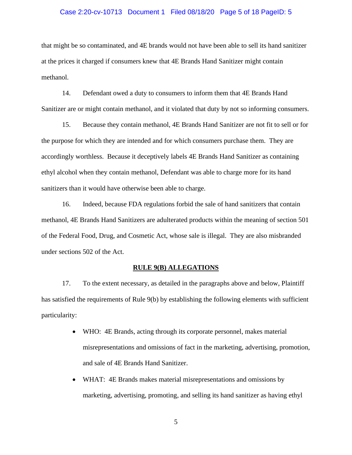#### Case 2:20-cv-10713 Document 1 Filed 08/18/20 Page 5 of 18 PageID: 5

that might be so contaminated, and 4E brands would not have been able to sell its hand sanitizer at the prices it charged if consumers knew that 4E Brands Hand Sanitizer might contain methanol.

14. Defendant owed a duty to consumers to inform them that 4E Brands Hand Sanitizer are or might contain methanol, and it violated that duty by not so informing consumers.

15. Because they contain methanol, 4E Brands Hand Sanitizer are not fit to sell or for the purpose for which they are intended and for which consumers purchase them. They are accordingly worthless. Because it deceptively labels 4E Brands Hand Sanitizer as containing ethyl alcohol when they contain methanol, Defendant was able to charge more for its hand sanitizers than it would have otherwise been able to charge.

16. Indeed, because FDA regulations forbid the sale of hand sanitizers that contain methanol, 4E Brands Hand Sanitizers are adulterated products within the meaning of section 501 of the Federal Food, Drug, and Cosmetic Act, whose sale is illegal. They are also misbranded under sections 502 of the Act.

#### **RULE 9(B) ALLEGATIONS**

17. To the extent necessary, as detailed in the paragraphs above and below, Plaintiff has satisfied the requirements of Rule 9(b) by establishing the following elements with sufficient particularity:

- WHO: 4E Brands, acting through its corporate personnel, makes material misrepresentations and omissions of fact in the marketing, advertising, promotion, and sale of 4E Brands Hand Sanitizer.
- WHAT: 4E Brands makes material misrepresentations and omissions by marketing, advertising, promoting, and selling its hand sanitizer as having ethyl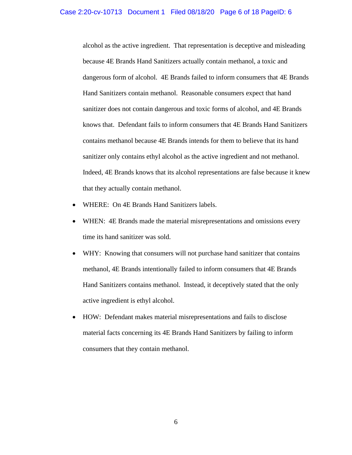#### Case 2:20-cv-10713 Document 1 Filed 08/18/20 Page 6 of 18 PageID: 6

alcohol as the active ingredient. That representation is deceptive and misleading because 4E Brands Hand Sanitizers actually contain methanol, a toxic and dangerous form of alcohol. 4E Brands failed to inform consumers that 4E Brands Hand Sanitizers contain methanol. Reasonable consumers expect that hand sanitizer does not contain dangerous and toxic forms of alcohol, and 4E Brands knows that. Defendant fails to inform consumers that 4E Brands Hand Sanitizers contains methanol because 4E Brands intends for them to believe that its hand sanitizer only contains ethyl alcohol as the active ingredient and not methanol. Indeed, 4E Brands knows that its alcohol representations are false because it knew that they actually contain methanol.

- WHERE: On 4E Brands Hand Sanitizers labels.
- WHEN: 4E Brands made the material misrepresentations and omissions every time its hand sanitizer was sold.
- WHY: Knowing that consumers will not purchase hand sanitizer that contains methanol, 4E Brands intentionally failed to inform consumers that 4E Brands Hand Sanitizers contains methanol. Instead, it deceptively stated that the only active ingredient is ethyl alcohol.
- HOW: Defendant makes material misrepresentations and fails to disclose material facts concerning its 4E Brands Hand Sanitizers by failing to inform consumers that they contain methanol.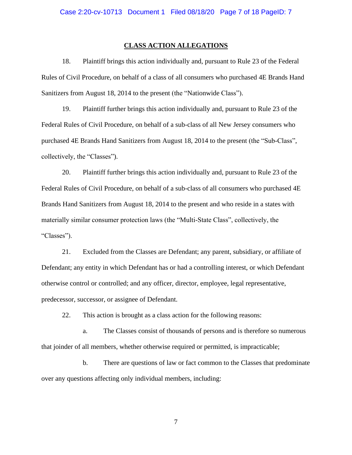#### **CLASS ACTION ALLEGATIONS**

18. Plaintiff brings this action individually and, pursuant to Rule 23 of the Federal Rules of Civil Procedure, on behalf of a class of all consumers who purchased 4E Brands Hand Sanitizers from August 18, 2014 to the present (the "Nationwide Class").

19. Plaintiff further brings this action individually and, pursuant to Rule 23 of the Federal Rules of Civil Procedure, on behalf of a sub-class of all New Jersey consumers who purchased 4E Brands Hand Sanitizers from August 18, 2014 to the present (the "Sub-Class", collectively, the "Classes").

20. Plaintiff further brings this action individually and, pursuant to Rule 23 of the Federal Rules of Civil Procedure, on behalf of a sub-class of all consumers who purchased 4E Brands Hand Sanitizers from August 18, 2014 to the present and who reside in a states with materially similar consumer protection laws (the "Multi-State Class", collectively, the "Classes").

21. Excluded from the Classes are Defendant; any parent, subsidiary, or affiliate of Defendant; any entity in which Defendant has or had a controlling interest, or which Defendant otherwise control or controlled; and any officer, director, employee, legal representative, predecessor, successor, or assignee of Defendant.

22. This action is brought as a class action for the following reasons:

a. The Classes consist of thousands of persons and is therefore so numerous that joinder of all members, whether otherwise required or permitted, is impracticable;

b. There are questions of law or fact common to the Classes that predominate over any questions affecting only individual members, including: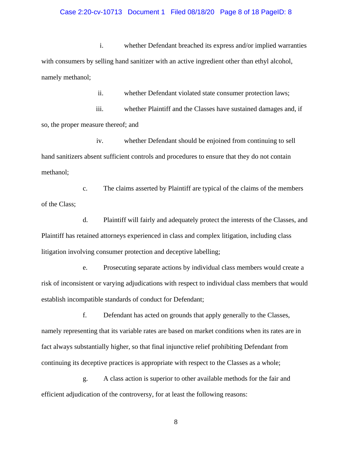#### Case 2:20-cv-10713 Document 1 Filed 08/18/20 Page 8 of 18 PageID: 8

i. whether Defendant breached its express and/or implied warranties with consumers by selling hand sanitizer with an active ingredient other than ethyl alcohol, namely methanol;

ii. whether Defendant violated state consumer protection laws;

iii. whether Plaintiff and the Classes have sustained damages and, if so, the proper measure thereof; and

iv. whether Defendant should be enjoined from continuing to sell hand sanitizers absent sufficient controls and procedures to ensure that they do not contain methanol;

c. The claims asserted by Plaintiff are typical of the claims of the members of the Class;

d. Plaintiff will fairly and adequately protect the interests of the Classes, and Plaintiff has retained attorneys experienced in class and complex litigation, including class litigation involving consumer protection and deceptive labelling;

e. Prosecuting separate actions by individual class members would create a risk of inconsistent or varying adjudications with respect to individual class members that would establish incompatible standards of conduct for Defendant;

f. Defendant has acted on grounds that apply generally to the Classes, namely representing that its variable rates are based on market conditions when its rates are in fact always substantially higher, so that final injunctive relief prohibiting Defendant from continuing its deceptive practices is appropriate with respect to the Classes as a whole;

g. A class action is superior to other available methods for the fair and efficient adjudication of the controversy, for at least the following reasons: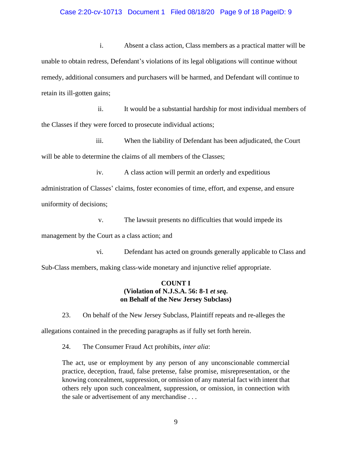#### Case 2:20-cv-10713 Document 1 Filed 08/18/20 Page 9 of 18 PageID: 9

i. Absent a class action, Class members as a practical matter will be unable to obtain redress, Defendant's violations of its legal obligations will continue without remedy, additional consumers and purchasers will be harmed, and Defendant will continue to retain its ill-gotten gains;

ii. It would be a substantial hardship for most individual members of the Classes if they were forced to prosecute individual actions;

iii. When the liability of Defendant has been adjudicated, the Court will be able to determine the claims of all members of the Classes;

iv. A class action will permit an orderly and expeditious administration of Classes' claims, foster economies of time, effort, and expense, and ensure uniformity of decisions;

v. The lawsuit presents no difficulties that would impede its

management by the Court as a class action; and

vi. Defendant has acted on grounds generally applicable to Class and

Sub-Class members, making class-wide monetary and injunctive relief appropriate.

### **COUNT I (Violation of N.J.S.A. 56: 8-1** *et seq***. on Behalf of the New Jersey Subclass)**

23. On behalf of the New Jersey Subclass, Plaintiff repeats and re-alleges the allegations contained in the preceding paragraphs as if fully set forth herein.

24. The Consumer Fraud Act prohibits, *inter alia*:

The act, use or employment by any person of any unconscionable commercial practice, deception, fraud, false pretense, false promise, misrepresentation, or the knowing concealment, suppression, or omission of any material fact with intent that others rely upon such concealment, suppression, or omission, in connection with the sale or advertisement of any merchandise . . .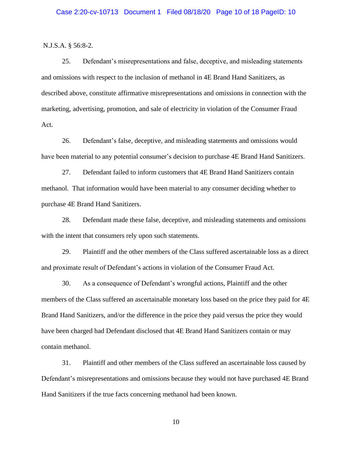N.J.S.A. § 56:8-2.

25. Defendant's misrepresentations and false, deceptive, and misleading statements and omissions with respect to the inclusion of methanol in 4E Brand Hand Sanitizers, as described above, constitute affirmative misrepresentations and omissions in connection with the marketing, advertising, promotion, and sale of electricity in violation of the Consumer Fraud Act.

26. Defendant's false, deceptive, and misleading statements and omissions would have been material to any potential consumer's decision to purchase 4E Brand Hand Sanitizers.

27. Defendant failed to inform customers that 4E Brand Hand Sanitizers contain methanol. That information would have been material to any consumer deciding whether to purchase 4E Brand Hand Sanitizers.

28. Defendant made these false, deceptive, and misleading statements and omissions with the intent that consumers rely upon such statements.

29. Plaintiff and the other members of the Class suffered ascertainable loss as a direct and proximate result of Defendant's actions in violation of the Consumer Fraud Act.

30. As a consequence of Defendant's wrongful actions, Plaintiff and the other members of the Class suffered an ascertainable monetary loss based on the price they paid for 4E Brand Hand Sanitizers, and/or the difference in the price they paid versus the price they would have been charged had Defendant disclosed that 4E Brand Hand Sanitizers contain or may contain methanol.

31. Plaintiff and other members of the Class suffered an ascertainable loss caused by Defendant's misrepresentations and omissions because they would not have purchased 4E Brand Hand Sanitizers if the true facts concerning methanol had been known.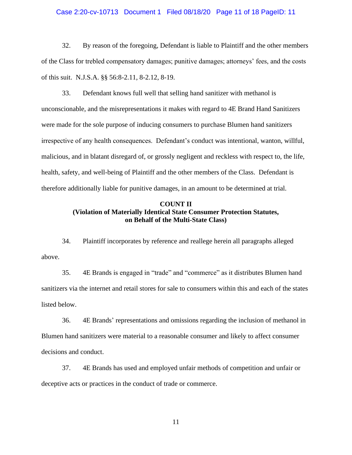#### Case 2:20-cv-10713 Document 1 Filed 08/18/20 Page 11 of 18 PageID: 11

32. By reason of the foregoing, Defendant is liable to Plaintiff and the other members of the Class for trebled compensatory damages; punitive damages; attorneys' fees, and the costs of this suit. N.J.S.A. §§ 56:8-2.11, 8-2.12, 8-19.

33. Defendant knows full well that selling hand sanitizer with methanol is unconscionable, and the misrepresentations it makes with regard to 4E Brand Hand Sanitizers were made for the sole purpose of inducing consumers to purchase Blumen hand sanitizers irrespective of any health consequences. Defendant's conduct was intentional, wanton, willful, malicious, and in blatant disregard of, or grossly negligent and reckless with respect to, the life, health, safety, and well-being of Plaintiff and the other members of the Class. Defendant is therefore additionally liable for punitive damages, in an amount to be determined at trial.

# **COUNT II (Violation of Materially Identical State Consumer Protection Statutes, on Behalf of the Multi-State Class)**

34. Plaintiff incorporates by reference and reallege herein all paragraphs alleged above.

35. 4E Brands is engaged in "trade" and "commerce" as it distributes Blumen hand sanitizers via the internet and retail stores for sale to consumers within this and each of the states listed below.

36. 4E Brands' representations and omissions regarding the inclusion of methanol in Blumen hand sanitizers were material to a reasonable consumer and likely to affect consumer decisions and conduct.

37. 4E Brands has used and employed unfair methods of competition and unfair or deceptive acts or practices in the conduct of trade or commerce.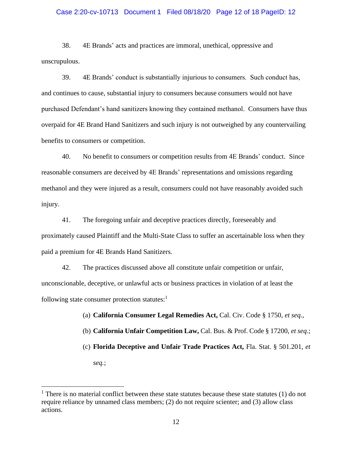#### Case 2:20-cv-10713 Document 1 Filed 08/18/20 Page 12 of 18 PageID: 12

38. 4E Brands' acts and practices are immoral, unethical, oppressive and unscrupulous.

39. 4E Brands' conduct is substantially injurious to consumers. Such conduct has, and continues to cause, substantial injury to consumers because consumers would not have purchased Defendant's hand sanitizers knowing they contained methanol. Consumers have thus overpaid for 4E Brand Hand Sanitizers and such injury is not outweighed by any countervailing benefits to consumers or competition.

40. No benefit to consumers or competition results from 4E Brands' conduct. Since reasonable consumers are deceived by 4E Brands' representations and omissions regarding methanol and they were injured as a result, consumers could not have reasonably avoided such injury.

41. The foregoing unfair and deceptive practices directly, foreseeably and proximately caused Plaintiff and the Multi-State Class to suffer an ascertainable loss when they paid a premium for 4E Brands Hand Sanitizers.

42. The practices discussed above all constitute unfair competition or unfair, unconscionable, deceptive, or unlawful acts or business practices in violation of at least the following state consumer protection statutes: $<sup>1</sup>$ </sup>

(a) **California Consumer Legal Remedies Act,** Cal. Civ. Code § 1750, *et seq*.,

(b) **California Unfair Competition Law,** Cal. Bus. & Prof. Code § 17200, *et seq*.;

(c) **Florida Deceptive and Unfair Trade Practices Act,** Fla. Stat. § 501.201, *et* 

*seq.*;

 $<sup>1</sup>$  There is no material conflict between these state statutes because these state statutes (1) do not</sup> require reliance by unnamed class members; (2) do not require scienter; and (3) allow class actions.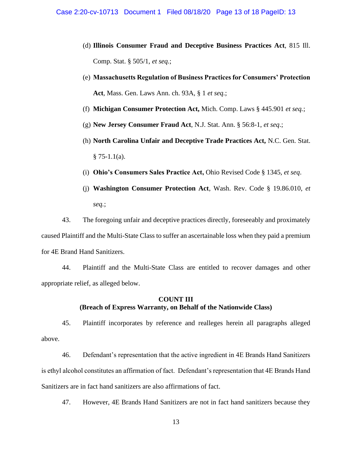- (d) **Illinois Consumer Fraud and Deceptive Business Practices Act**, 815 Ill. Comp. Stat. § 505/1, *et seq.*;
- (e) **Massachusetts Regulation of Business Practices for Consumers' Protection Act**, Mass. Gen. Laws Ann. ch. 93A, § 1 *et seq.*;
- (f) **Michigan Consumer Protection Act,** Mich. Comp. Laws § 445.901 *et seq.*;
- (g) **New Jersey Consumer Fraud Act**, N.J. Stat. Ann. § 56:8-1, *et seq*.;
- (h) **North Carolina Unfair and Deceptive Trade Practices Act,** N.C. Gen. Stat.  $§ 75-1.1(a).$
- (i) **Ohio's Consumers Sales Practice Act,** Ohio Revised Code § 1345, *et seq*.
- (j) **Washington Consumer Protection Act**, Wash. Rev. Code § 19.86.010, *et seq.*;

43. The foregoing unfair and deceptive practices directly, foreseeably and proximately caused Plaintiff and the Multi-State Class to suffer an ascertainable loss when they paid a premium for 4E Brand Hand Sanitizers.

44. Plaintiff and the Multi-State Class are entitled to recover damages and other appropriate relief, as alleged below.

# **COUNT III (Breach of Express Warranty, on Behalf of the Nationwide Class)**

45. Plaintiff incorporates by reference and realleges herein all paragraphs alleged above.

46. Defendant's representation that the active ingredient in 4E Brands Hand Sanitizers is ethyl alcohol constitutes an affirmation of fact. Defendant's representation that 4E Brands Hand Sanitizers are in fact hand sanitizers are also affirmations of fact.

47. However, 4E Brands Hand Sanitizers are not in fact hand sanitizers because they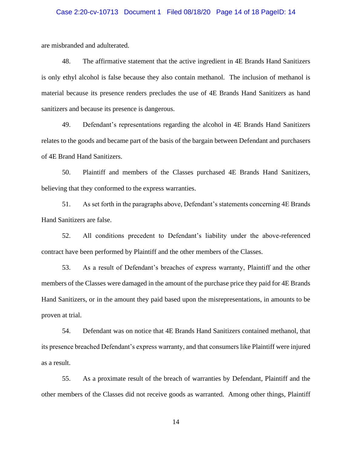#### Case 2:20-cv-10713 Document 1 Filed 08/18/20 Page 14 of 18 PageID: 14

are misbranded and adulterated.

48. The affirmative statement that the active ingredient in 4E Brands Hand Sanitizers is only ethyl alcohol is false because they also contain methanol. The inclusion of methanol is material because its presence renders precludes the use of 4E Brands Hand Sanitizers as hand sanitizers and because its presence is dangerous.

49. Defendant's representations regarding the alcohol in 4E Brands Hand Sanitizers relates to the goods and became part of the basis of the bargain between Defendant and purchasers of 4E Brand Hand Sanitizers.

50. Plaintiff and members of the Classes purchased 4E Brands Hand Sanitizers, believing that they conformed to the express warranties.

51. As set forth in the paragraphs above, Defendant's statements concerning 4E Brands Hand Sanitizers are false.

52. All conditions precedent to Defendant's liability under the above-referenced contract have been performed by Plaintiff and the other members of the Classes.

53. As a result of Defendant's breaches of express warranty, Plaintiff and the other members of the Classes were damaged in the amount of the purchase price they paid for 4E Brands Hand Sanitizers, or in the amount they paid based upon the misrepresentations, in amounts to be proven at trial.

54. Defendant was on notice that 4E Brands Hand Sanitizers contained methanol, that its presence breached Defendant's express warranty, and that consumers like Plaintiff were injured as a result.

55. As a proximate result of the breach of warranties by Defendant, Plaintiff and the other members of the Classes did not receive goods as warranted. Among other things, Plaintiff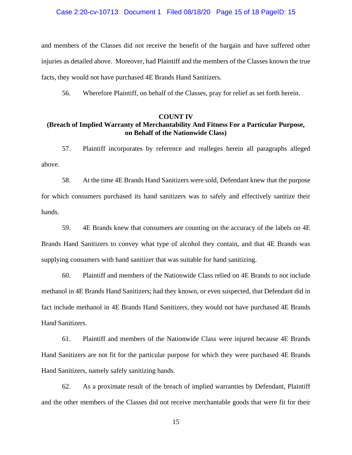#### Case 2:20-cv-10713 Document 1 Filed 08/18/20 Page 15 of 18 PageID: 15

and members of the Classes did not receive the benefit of the bargain and have suffered other injuries as detailed above. Moreover, had Plaintiff and the members of the Classes known the true facts, they would not have purchased 4E Brands Hand Sanitizers.

56. Wherefore Plaintiff, on behalf of the Classes, pray for relief as set forth herein.

#### **COUNT IV**

# **(Breach of Implied Warranty of Merchantability And Fitness For a Particular Purpose, on Behalf of the Nationwide Class)**

57. Plaintiff incorporates by reference and realleges herein all paragraphs alleged above.

58. At the time 4E Brands Hand Sanitizers were sold, Defendant knew that the purpose for which consumers purchased its hand sanitizers was to safely and effectively sanitize their hands.

59. 4E Brands knew that consumers are counting on the accuracy of the labels on 4E Brands Hand Sanitizers to convey what type of alcohol they contain, and that 4E Brands was supplying consumers with hand sanitizer that was suitable for hand sanitizing.

60. Plaintiff and members of the Nationwide Class relied on 4E Brands to not include methanol in 4E Brands Hand Sanitizers; had they known, or even suspected, that Defendant did in fact include methanol in 4E Brands Hand Sanitizers, they would not have purchased 4E Brands Hand Sanitizers.

61. Plaintiff and members of the Nationwide Class were injured because 4E Brands Hand Sanitizers are not fit for the particular purpose for which they were purchased 4E Brands Hand Sanitizers, namely safely sanitizing hands.

62. As a proximate result of the breach of implied warranties by Defendant, Plaintiff and the other members of the Classes did not receive merchantable goods that were fit for their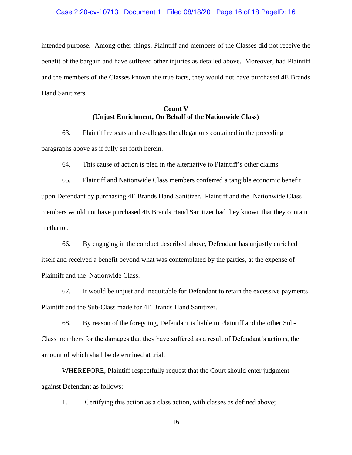intended purpose. Among other things, Plaintiff and members of the Classes did not receive the benefit of the bargain and have suffered other injuries as detailed above. Moreover, had Plaintiff and the members of the Classes known the true facts, they would not have purchased 4E Brands Hand Sanitizers.

# **Count V (Unjust Enrichment, On Behalf of the Nationwide Class)**

63. Plaintiff repeats and re-alleges the allegations contained in the preceding paragraphs above as if fully set forth herein.

64. This cause of action is pled in the alternative to Plaintiff's other claims.

65. Plaintiff and Nationwide Class members conferred a tangible economic benefit upon Defendant by purchasing 4E Brands Hand Sanitizer. Plaintiff and the Nationwide Class members would not have purchased 4E Brands Hand Sanitizer had they known that they contain methanol.

66. By engaging in the conduct described above, Defendant has unjustly enriched itself and received a benefit beyond what was contemplated by the parties, at the expense of Plaintiff and the Nationwide Class.

67. It would be unjust and inequitable for Defendant to retain the excessive payments Plaintiff and the Sub-Class made for 4E Brands Hand Sanitizer.

68. By reason of the foregoing, Defendant is liable to Plaintiff and the other Sub-Class members for the damages that they have suffered as a result of Defendant's actions, the amount of which shall be determined at trial.

WHEREFORE, Plaintiff respectfully request that the Court should enter judgment against Defendant as follows:

1. Certifying this action as a class action, with classes as defined above;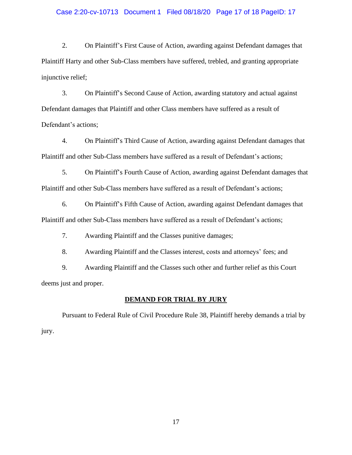#### Case 2:20-cv-10713 Document 1 Filed 08/18/20 Page 17 of 18 PageID: 17

2. On Plaintiff's First Cause of Action, awarding against Defendant damages that Plaintiff Harty and other Sub-Class members have suffered, trebled, and granting appropriate injunctive relief;

3. On Plaintiff's Second Cause of Action, awarding statutory and actual against Defendant damages that Plaintiff and other Class members have suffered as a result of Defendant's actions;

4. On Plaintiff's Third Cause of Action, awarding against Defendant damages that Plaintiff and other Sub-Class members have suffered as a result of Defendant's actions;

5. On Plaintiff's Fourth Cause of Action, awarding against Defendant damages that Plaintiff and other Sub-Class members have suffered as a result of Defendant's actions;

6. On Plaintiff's Fifth Cause of Action, awarding against Defendant damages that Plaintiff and other Sub-Class members have suffered as a result of Defendant's actions;

7. Awarding Plaintiff and the Classes punitive damages;

8. Awarding Plaintiff and the Classes interest, costs and attorneys' fees; and

9. Awarding Plaintiff and the Classes such other and further relief as this Court deems just and proper.

#### **DEMAND FOR TRIAL BY JURY**

Pursuant to Federal Rule of Civil Procedure Rule 38, Plaintiff hereby demands a trial by jury.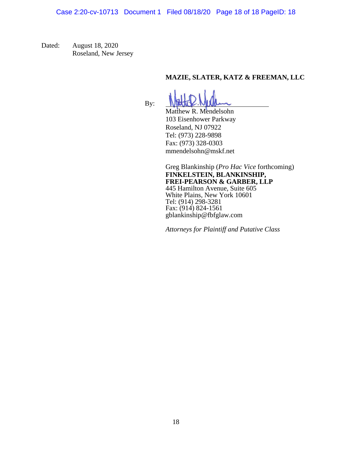Dated: August 18, 2020 Roseland, New Jersey

# **MAZIE, SLATER, KATZ & FREEMAN, LLC**

By:

Matthew R. Mendelsohn 103 Eisenhower Parkway Roseland, NJ 07922 Tel: (973) 228-9898 Fax: (973) 328-0303 mmendelsohn@mskf.net

Greg Blankinship (*Pro Hac Vice* forthcoming) **FINKELSTEIN, BLANKINSHIP, FREI-PEARSON & GARBER, LLP** 445 Hamilton Avenue, Suite 605 White Plains, New York 10601 Tel: (914) 298-3281 Fax: (914) 824-1561 gblankinship@fbfglaw.com

*Attorneys for Plaintiff and Putative Class*